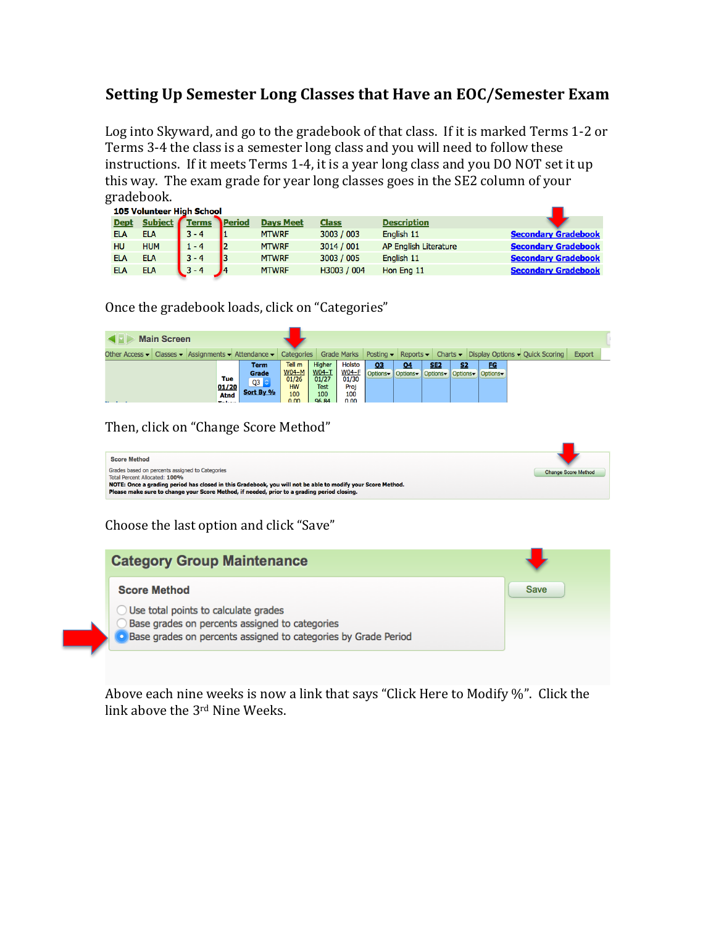## **Setting Up Semester Long Classes that Have an EOC/Semester Exam**

Log into Skyward, and go to the gradebook of that class. If it is marked Terms 1-2 or Terms 3-4 the class is a semester long class and you will need to follow these instructions. If it meets Terms 1-4, it is a year long class and you DO NOT set it up this way. The exam grade for year long classes goes in the SE2 column of your gradebook. 

|             | <b>105 Volunteer High School</b> |         |        |                  |              |                              |                            |  |  |
|-------------|----------------------------------|---------|--------|------------------|--------------|------------------------------|----------------------------|--|--|
| <b>Dept</b> | Subject Terms                    |         | Period | <b>Days Meet</b> | <b>Class</b> | <b>Description</b>           |                            |  |  |
| <b>ELA</b>  | <b>ELA</b>                       | $3 - 4$ |        | <b>MTWRF</b>     | 3003 / 003   | English 11                   | <b>Secondary Gradebook</b> |  |  |
| <b>HU</b>   | <b>HUM</b>                       | $1 - 4$ |        | <b>MTWRF</b>     | 3014 / 001   | <b>AP English Literature</b> | <b>Secondary Gradebook</b> |  |  |
| <b>ELA</b>  | ELA                              | $3 - 4$ |        | <b>MTWRF</b>     | 3003 / 005   | English 11                   | <b>Secondary Gradebook</b> |  |  |
| <b>ELA</b>  | ELA                              | $3 - 4$ |        | <b>MTWRF</b>     | H3003 / 004  | Hon Eng 11                   | <b>Secondary Gradebook</b> |  |  |

Once the gradebook loads, click on "Categories"

| <b>Main Screen</b> |  |  |                                                                          |                                                   |                                                        |                                                                       |                                                               |    |    |            |                                                        |                                                                                                                                                                                                         |               |
|--------------------|--|--|--------------------------------------------------------------------------|---------------------------------------------------|--------------------------------------------------------|-----------------------------------------------------------------------|---------------------------------------------------------------|----|----|------------|--------------------------------------------------------|---------------------------------------------------------------------------------------------------------------------------------------------------------------------------------------------------------|---------------|
|                    |  |  |                                                                          |                                                   |                                                        |                                                                       |                                                               |    |    |            |                                                        | Other Access $\bullet$ Classes $\bullet$ Assignments $\bullet$ Attendance $\bullet$ Categories Grade Marks Posting $\bullet$ Reports $\bullet$ Charts $\bullet$ Display Options $\bullet$ Quick Scoring | <b>Export</b> |
| <b>SALE ROLL</b>   |  |  | Tue<br>$\underbrace{\underbrace{01/20}}_{\text{Atnd}}$<br><b>COLLECT</b> | <b>Term</b><br>Grade<br>$Q3$ $\circ$<br>Sort By % | Tell m<br>$W04-M$<br>01/26<br><b>HW</b><br>100<br>0.00 | Higher<br><u>W04-T</u><br>01/27<br><b>Test</b><br>100<br><b>96.84</b> | <b>Holsto</b><br><u>W04-F</u><br>01/30<br>Proj<br>100<br>0.00 | 03 | 04 | <u>SE2</u> | <b>FG</b><br>Options Options Options IOptions IOptions |                                                                                                                                                                                                         |               |

Then, click on "Change Score Method"

| <b>Score Method</b>                                                                                         |                            |
|-------------------------------------------------------------------------------------------------------------|----------------------------|
| Grades based on percents assigned to Categories<br>Total Percent Allocated: 100%                            | <b>Change Score Method</b> |
| NOTE: Once a grading period has closed in this Gradebook, you will not be able to modify your Score Method. |                            |
| Please make sure to change your Score Method, if needed, prior to a grading period closing.                 |                            |

Choose the last option and click "Save"

| <b>Category Group Maintenance</b>                                                                                                                                   |             |
|---------------------------------------------------------------------------------------------------------------------------------------------------------------------|-------------|
| <b>Score Method</b>                                                                                                                                                 | <b>Save</b> |
| $\bigcirc$ Use total points to calculate grades<br>Base grades on percents assigned to categories<br>Base grades on percents assigned to categories by Grade Period |             |

Above each nine weeks is now a link that says "Click Here to Modify %". Click the link above the 3<sup>rd</sup> Nine Weeks.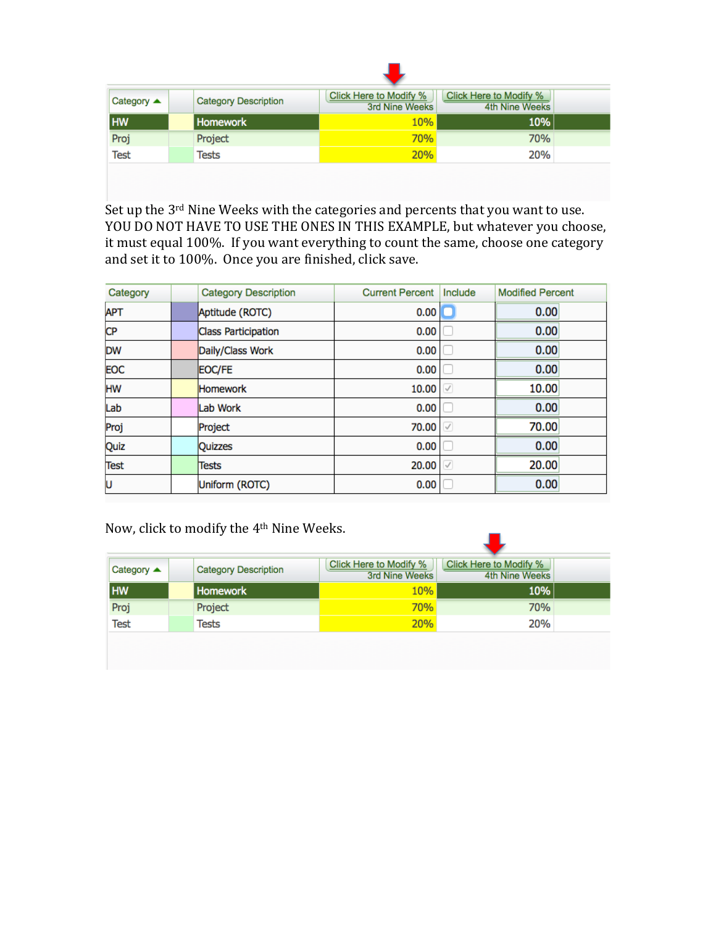| Category $\triangle$ | <b>Category Description</b> | Click Here to Modify % | Click Here to Modify % |  |
|----------------------|-----------------------------|------------------------|------------------------|--|
| HW                   | Homework                    | 3rd Nine Weeks<br>10%  | 4th Nine Weeks<br>10%  |  |
| Proj                 | Project                     | <b>70%</b>             | 70%                    |  |
| <b>Test</b>          | Tests                       | 20%                    | 20%                    |  |
|                      |                             |                        |                        |  |

Set up the 3<sup>rd</sup> Nine Weeks with the categories and percents that you want to use. YOU DO NOT HAVE TO USE THE ONES IN THIS EXAMPLE, but whatever you choose, it must equal 100%. If you want everything to count the same, choose one category and set it to 100%. Once you are finished, click save.

| Category    | <b>Category Description</b> | <b>Current Percent</b> | Include      | <b>Modified Percent</b> |
|-------------|-----------------------------|------------------------|--------------|-------------------------|
| <b>APT</b>  | Aptitude (ROTC)             | 0.00                   |              | 0.00                    |
| <b>CP</b>   | <b>Class Participation</b>  | 0.00                   |              | 0.00                    |
| <b>DW</b>   | Daily/Class Work            | 0.00                   |              | 0.00                    |
| <b>EOC</b>  | EOC/FE                      | 0.00                   |              | 0.00                    |
| HW          | <b>Homework</b>             | 10.00                  | V            | 10.00                   |
| Lab         | Lab Work                    | 0.00                   |              | 0.00                    |
| Proj        | Project                     | 70.00                  | $\checkmark$ | 70.00                   |
| Quiz        | <b>Quizzes</b>              | 0.00                   |              | 0.00                    |
| <b>Test</b> | Tests                       | 20.00                  | $\checkmark$ | 20.00                   |
| U           | Uniform (ROTC)              | 0.00                   |              | 0.00                    |

Now, click to modify the 4<sup>th</sup> Nine Weeks.

| Category $\triangle$ | <b>Category Description</b> | Click Here to Modify %<br><b>3rd Nine Weeks</b> | Click Here to Modify %<br>4th Nine Weeks |  |
|----------------------|-----------------------------|-------------------------------------------------|------------------------------------------|--|
| HW                   | <b>Homework</b>             | 10%                                             | 10%                                      |  |
| Proj                 | Project                     | 70%                                             | 70%                                      |  |
| <b>Test</b>          | Tests                       | 20%                                             | 20%                                      |  |
|                      |                             |                                                 |                                          |  |
|                      |                             |                                                 |                                          |  |

 $\blacksquare$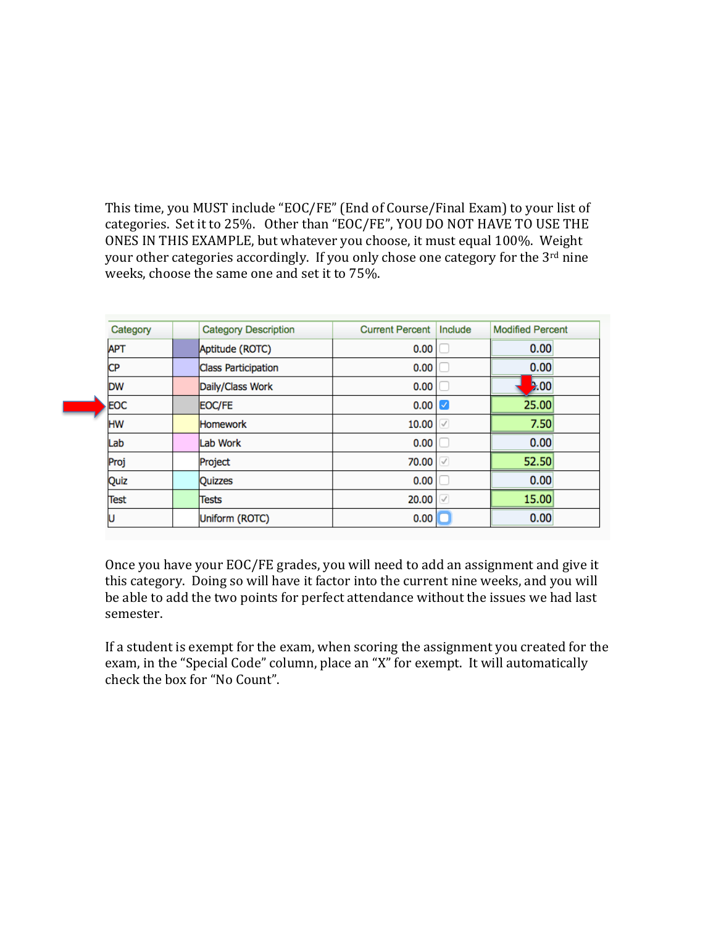This time, you MUST include "EOC/FE" (End of Course/Final Exam) to your list of categories. Set it to 25%. Other than "EOC/FE", YOU DO NOT HAVE TO USE THE ONES IN THIS EXAMPLE, but whatever you choose, it must equal 100%. Weight your other categories accordingly. If you only chose one category for the 3<sup>rd</sup> nine weeks, choose the same one and set it to 75%.

| Category   | <b>Category Description</b> | <b>Current Percent</b> | Include      | <b>Modified Percent</b> |
|------------|-----------------------------|------------------------|--------------|-------------------------|
| <b>APT</b> | Aptitude (ROTC)             | 0.00                   |              | 0.00                    |
| <b>CP</b>  | <b>Class Participation</b>  | 0.00                   |              | 0.00                    |
| <b>DW</b>  | Daily/Class Work            | 0.00                   |              | 2.00                    |
| EOC        | EOC/FE                      | 0.00                   |              | 25.00                   |
| <b>HW</b>  | <b>Homework</b>             | 10.00                  |              | 7.50                    |
| Lab        | Lab Work                    | 0.00                   |              | 0.00                    |
| Proj       | Project                     | 70.00                  | $\checkmark$ | 52.50                   |
| Quiz       | <b>Quizzes</b>              | 0.00                   |              | 0.00                    |
| Test       | Tests                       | 20.00                  | $\checkmark$ | 15.00                   |
|            | <b>Uniform (ROTC)</b>       | 0.00                   |              | 0.00                    |

Once you have your EOC/FE grades, you will need to add an assignment and give it this category. Doing so will have it factor into the current nine weeks, and you will be able to add the two points for perfect attendance without the issues we had last semester. 

If a student is exempt for the exam, when scoring the assignment you created for the exam, in the "Special Code" column, place an "X" for exempt. It will automatically check the box for "No Count".